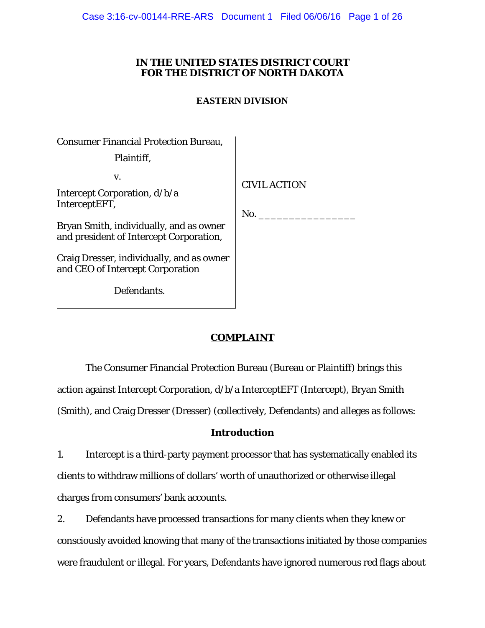Case 3:16-cv-00144-RRE-ARS Document 1 Filed 06/06/16 Page 1 of 26

## **IN THE UNITED STATES DISTRICT COURT FOR THE DISTRICT OF NORTH DAKOTA**

## **EASTERN DIVISION**

| <b>Consumer Financial Protection Bureau,</b>                                       |                            |
|------------------------------------------------------------------------------------|----------------------------|
| Plaintiff,                                                                         |                            |
| V.<br>Intercept Corporation, d/b/a<br>InterceptEFT,                                | <b>CIVIL ACTION</b><br>No. |
| Bryan Smith, individually, and as owner<br>and president of Intercept Corporation, |                            |
| Craig Dresser, individually, and as owner<br>and CEO of Intercept Corporation      |                            |
| Defendants.                                                                        |                            |

# **COMPLAINT**

The Consumer Financial Protection Bureau (Bureau or Plaintiff) brings this action against Intercept Corporation, d/b/a InterceptEFT (Intercept), Bryan Smith (Smith), and Craig Dresser (Dresser) (collectively, Defendants) and alleges as follows:

## **Introduction**

1. Intercept is a third-party payment processor that has systematically enabled its clients to withdraw millions of dollars' worth of unauthorized or otherwise illegal charges from consumers' bank accounts.

2. Defendants have processed transactions for many clients when they knew or consciously avoided knowing that many of the transactions initiated by those companies were fraudulent or illegal. For years, Defendants have ignored numerous red flags about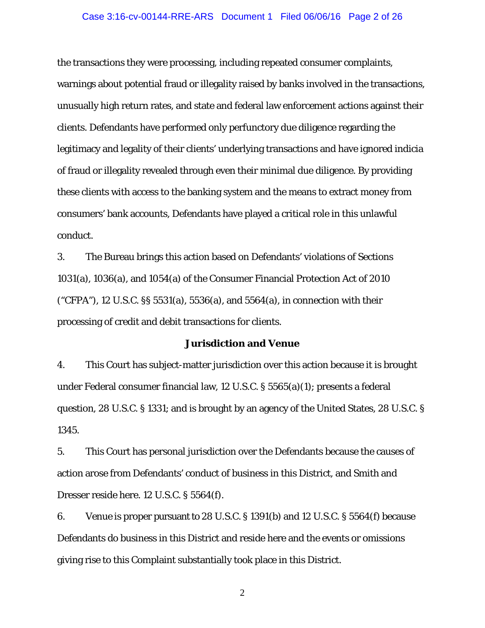#### Case 3:16-cv-00144-RRE-ARS Document 1 Filed 06/06/16 Page 2 of 26

the transactions they were processing, including repeated consumer complaints, warnings about potential fraud or illegality raised by banks involved in the transactions, unusually high return rates, and state and federal law enforcement actions against their clients. Defendants have performed only perfunctory due diligence regarding the legitimacy and legality of their clients' underlying transactions and have ignored indicia of fraud or illegality revealed through even their minimal due diligence. By providing these clients with access to the banking system and the means to extract money from consumers' bank accounts, Defendants have played a critical role in this unlawful conduct.

3. The Bureau brings this action based on Defendants' violations of Sections 1031(a), 1036(a), and 1054(a) of the Consumer Financial Protection Act of 2010 ("CFPA"), 12 U.S.C. §§ 5531(a), 5536(a), and 5564(a), in connection with their processing of credit and debit transactions for clients.

#### **Jurisdiction and Venue**

4. This Court has subject-matter jurisdiction over this action because it is brought under Federal consumer financial law, 12 U.S.C. § 5565(a)(1); presents a federal question, 28 U.S.C. § 1331; and is brought by an agency of the United States, 28 U.S.C. § 1345.

5. This Court has personal jurisdiction over the Defendants because the causes of action arose from Defendants' conduct of business in this District, and Smith and Dresser reside here. 12 U.S.C. § 5564(f).

6. Venue is proper pursuant to 28 U.S.C. § 1391(b) and 12 U.S.C. § 5564(f) because Defendants do business in this District and reside here and the events or omissions giving rise to this Complaint substantially took place in this District.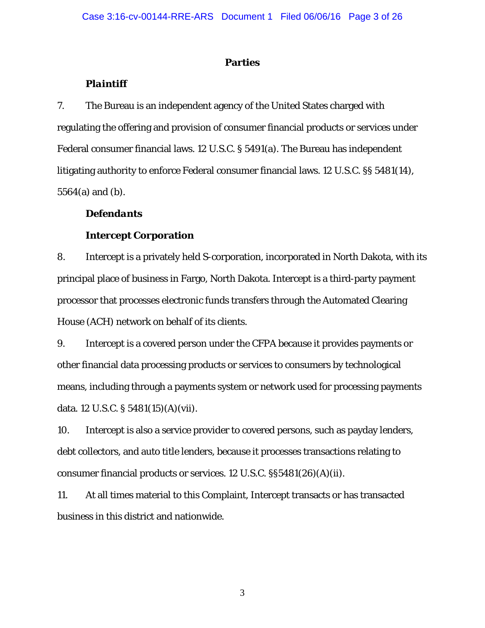### **Parties**

## *Plaintiff*

7. The Bureau is an independent agency of the United States charged with regulating the offering and provision of consumer financial products or services under Federal consumer financial laws. 12 U.S.C. § 5491(a). The Bureau has independent litigating authority to enforce Federal consumer financial laws. 12 U.S.C. §§ 5481(14), 5564(a) and (b).

## *Defendants*

## **Intercept Corporation**

8. Intercept is a privately held S-corporation, incorporated in North Dakota, with its principal place of business in Fargo, North Dakota. Intercept is a third-party payment processor that processes electronic funds transfers through the Automated Clearing House (ACH) network on behalf of its clients.

9. Intercept is a covered person under the CFPA because it provides payments or other financial data processing products or services to consumers by technological means, including through a payments system or network used for processing payments data. 12 U.S.C. § 5481(15)(A)(vii).

10. Intercept is also a service provider to covered persons, such as payday lenders, debt collectors, and auto title lenders, because it processes transactions relating to consumer financial products or services. 12 U.S.C. §§5481(26)(A)(ii).

11. At all times material to this Complaint, Intercept transacts or has transacted business in this district and nationwide.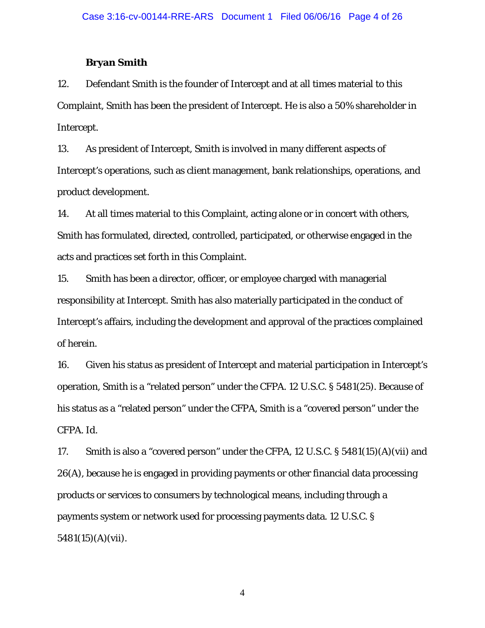### **Bryan Smith**

12. Defendant Smith is the founder of Intercept and at all times material to this Complaint, Smith has been the president of Intercept. He is also a 50% shareholder in Intercept.

13. As president of Intercept, Smith is involved in many different aspects of Intercept's operations, such as client management, bank relationships, operations, and product development.

14. At all times material to this Complaint, acting alone or in concert with others, Smith has formulated, directed, controlled, participated, or otherwise engaged in the acts and practices set forth in this Complaint.

15. Smith has been a director, officer, or employee charged with managerial responsibility at Intercept. Smith has also materially participated in the conduct of Intercept's affairs, including the development and approval of the practices complained of herein.

16. Given his status as president of Intercept and material participation in Intercept's operation, Smith is a "related person" under the CFPA. 12 U.S.C. § 5481(25). Because of his status as a "related person" under the CFPA, Smith is a "covered person" under the CFPA. *Id*.

17. Smith is also a "covered person" under the CFPA, 12 U.S.C. § 5481(15)(A)(vii) and 26(A), because he is engaged in providing payments or other financial data processing products or services to consumers by technological means, including through a payments system or network used for processing payments data. 12 U.S.C. § 5481(15)(A)(vii).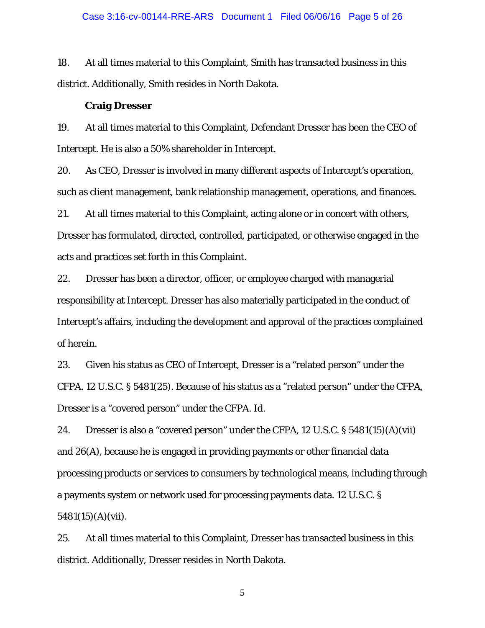#### Case 3:16-cv-00144-RRE-ARS Document 1 Filed 06/06/16 Page 5 of 26

18. At all times material to this Complaint, Smith has transacted business in this district. Additionally, Smith resides in North Dakota.

#### **Craig Dresser**

19. At all times material to this Complaint, Defendant Dresser has been the CEO of Intercept. He is also a 50% shareholder in Intercept.

20. As CEO, Dresser is involved in many different aspects of Intercept's operation, such as client management, bank relationship management, operations, and finances.

21. At all times material to this Complaint, acting alone or in concert with others, Dresser has formulated, directed, controlled, participated, or otherwise engaged in the acts and practices set forth in this Complaint.

22. Dresser has been a director, officer, or employee charged with managerial responsibility at Intercept. Dresser has also materially participated in the conduct of Intercept's affairs, including the development and approval of the practices complained of herein.

23. Given his status as CEO of Intercept, Dresser is a "related person" under the CFPA. 12 U.S.C. § 5481(25). Because of his status as a "related person" under the CFPA, Dresser is a "covered person" under the CFPA. *Id*.

24. Dresser is also a "covered person" under the CFPA, 12 U.S.C. § 5481(15)(A)(vii) and 26(A), because he is engaged in providing payments or other financial data processing products or services to consumers by technological means, including through a payments system or network used for processing payments data. 12 U.S.C. § 5481(15)(A)(vii).

25. At all times material to this Complaint, Dresser has transacted business in this district. Additionally, Dresser resides in North Dakota.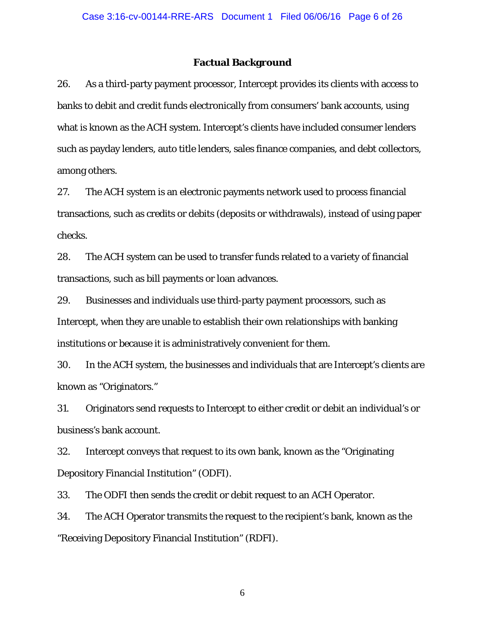#### **Factual Background**

26. As a third-party payment processor, Intercept provides its clients with access to banks to debit and credit funds electronically from consumers' bank accounts, using what is known as the ACH system. Intercept's clients have included consumer lenders such as payday lenders, auto title lenders, sales finance companies, and debt collectors, among others.

27. The ACH system is an electronic payments network used to process financial transactions, such as credits or debits (deposits or withdrawals), instead of using paper checks.

28. The ACH system can be used to transfer funds related to a variety of financial transactions, such as bill payments or loan advances.

29. Businesses and individuals use third-party payment processors, such as Intercept, when they are unable to establish their own relationships with banking institutions or because it is administratively convenient for them.

30. In the ACH system, the businesses and individuals that are Intercept's clients are known as "Originators."

31. Originators send requests to Intercept to either credit or debit an individual's or business's bank account.

32. Intercept conveys that request to its own bank, known as the "Originating Depository Financial Institution" (ODFI).

33. The ODFI then sends the credit or debit request to an ACH Operator.

34. The ACH Operator transmits the request to the recipient's bank, known as the "Receiving Depository Financial Institution" (RDFI).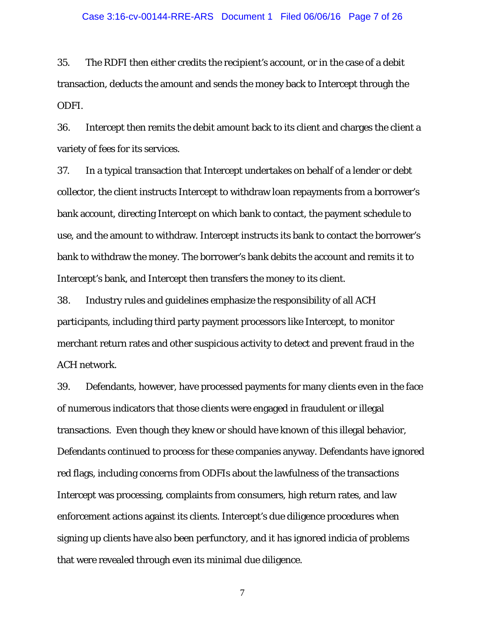#### Case 3:16-cv-00144-RRE-ARS Document 1 Filed 06/06/16 Page 7 of 26

35. The RDFI then either credits the recipient's account, or in the case of a debit transaction, deducts the amount and sends the money back to Intercept through the ODFI.

36. Intercept then remits the debit amount back to its client and charges the client a variety of fees for its services.

37. In a typical transaction that Intercept undertakes on behalf of a lender or debt collector, the client instructs Intercept to withdraw loan repayments from a borrower's bank account, directing Intercept on which bank to contact, the payment schedule to use, and the amount to withdraw. Intercept instructs its bank to contact the borrower's bank to withdraw the money. The borrower's bank debits the account and remits it to Intercept's bank, and Intercept then transfers the money to its client.

38. Industry rules and guidelines emphasize the responsibility of all ACH participants, including third party payment processors like Intercept, to monitor merchant return rates and other suspicious activity to detect and prevent fraud in the ACH network.

39. Defendants, however, have processed payments for many clients even in the face of numerous indicators that those clients were engaged in fraudulent or illegal transactions. Even though they knew or should have known of this illegal behavior, Defendants continued to process for these companies anyway. Defendants have ignored red flags, including concerns from ODFIs about the lawfulness of the transactions Intercept was processing, complaints from consumers, high return rates, and law enforcement actions against its clients. Intercept's due diligence procedures when signing up clients have also been perfunctory, and it has ignored indicia of problems that were revealed through even its minimal due diligence.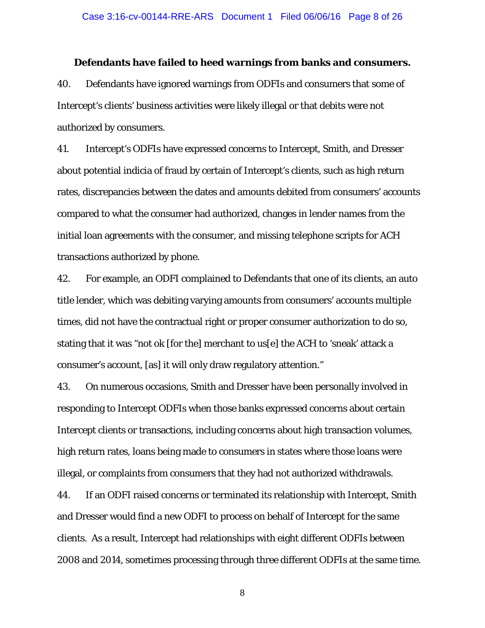#### **Defendants have failed to heed warnings from banks and consumers.**

40. Defendants have ignored warnings from ODFIs and consumers that some of Intercept's clients' business activities were likely illegal or that debits were not authorized by consumers.

41. Intercept's ODFIs have expressed concerns to Intercept, Smith, and Dresser about potential indicia of fraud by certain of Intercept's clients, such as high return rates, discrepancies between the dates and amounts debited from consumers' accounts compared to what the consumer had authorized, changes in lender names from the initial loan agreements with the consumer, and missing telephone scripts for ACH transactions authorized by phone.

42. For example, an ODFI complained to Defendants that one of its clients, an auto title lender, which was debiting varying amounts from consumers' accounts multiple times, did not have the contractual right or proper consumer authorization to do so, stating that it was "not ok [for the] merchant to us[e] the ACH to 'sneak' attack a consumer's account, [as] it will only draw regulatory attention."

43. On numerous occasions, Smith and Dresser have been personally involved in responding to Intercept ODFIs when those banks expressed concerns about certain Intercept clients or transactions, including concerns about high transaction volumes, high return rates, loans being made to consumers in states where those loans were illegal, or complaints from consumers that they had not authorized withdrawals.

44. If an ODFI raised concerns or terminated its relationship with Intercept, Smith and Dresser would find a new ODFI to process on behalf of Intercept for the same clients. As a result, Intercept had relationships with eight different ODFIs between 2008 and 2014, sometimes processing through three different ODFIs at the same time.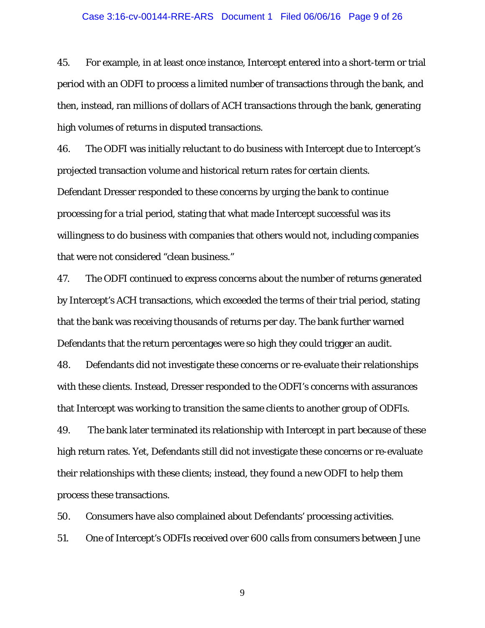#### Case 3:16-cv-00144-RRE-ARS Document 1 Filed 06/06/16 Page 9 of 26

45. For example, in at least once instance, Intercept entered into a short-term or trial period with an ODFI to process a limited number of transactions through the bank, and then, instead, ran millions of dollars of ACH transactions through the bank, generating high volumes of returns in disputed transactions.

46. The ODFI was initially reluctant to do business with Intercept due to Intercept's projected transaction volume and historical return rates for certain clients.

Defendant Dresser responded to these concerns by urging the bank to continue processing for a trial period, stating that what made Intercept successful was its willingness to do business with companies that others would not, including companies that were not considered "clean business."

47. The ODFI continued to express concerns about the number of returns generated by Intercept's ACH transactions, which exceeded the terms of their trial period, stating that the bank was receiving thousands of returns per day. The bank further warned Defendants that the return percentages were so high they could trigger an audit.

48. Defendants did not investigate these concerns or re-evaluate their relationships with these clients. Instead, Dresser responded to the ODFI's concerns with assurances that Intercept was working to transition the same clients to another group of ODFIs.

49. The bank later terminated its relationship with Intercept in part because of these high return rates. Yet, Defendants still did not investigate these concerns or re-evaluate their relationships with these clients; instead, they found a new ODFI to help them process these transactions.

50. Consumers have also complained about Defendants' processing activities.

51. One of Intercept's ODFIs received over 600 calls from consumers between June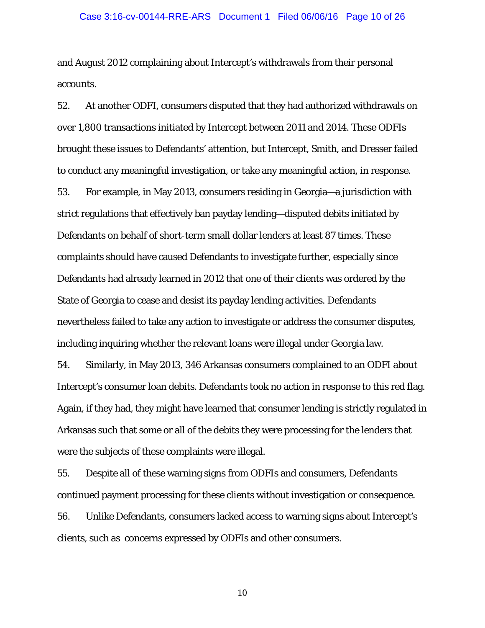#### Case 3:16-cv-00144-RRE-ARS Document 1 Filed 06/06/16 Page 10 of 26

and August 2012 complaining about Intercept's withdrawals from their personal accounts.

52. At another ODFI, consumers disputed that they had authorized withdrawals on over 1,800 transactions initiated by Intercept between 2011 and 2014. These ODFIs brought these issues to Defendants' attention, but Intercept, Smith, and Dresser failed to conduct any meaningful investigation, or take any meaningful action, in response. 53. For example, in May 2013, consumers residing in Georgia—a jurisdiction with strict regulations that effectively ban payday lending—disputed debits initiated by Defendants on behalf of short-term small dollar lenders at least 87 times. These complaints should have caused Defendants to investigate further, especially since Defendants had already learned in 2012 that one of their clients was ordered by the State of Georgia to cease and desist its payday lending activities. Defendants nevertheless failed to take any action to investigate or address the consumer disputes, including inquiring whether the relevant loans were illegal under Georgia law.

54. Similarly, in May 2013, 346 Arkansas consumers complained to an ODFI about Intercept's consumer loan debits. Defendants took no action in response to this red flag. Again, if they had, they might have learned that consumer lending is strictly regulated in Arkansas such that some or all of the debits they were processing for the lenders that were the subjects of these complaints were illegal.

55. Despite all of these warning signs from ODFIs and consumers, Defendants continued payment processing for these clients without investigation or consequence. 56. Unlike Defendants, consumers lacked access to warning signs about Intercept's clients, such as concerns expressed by ODFIs and other consumers.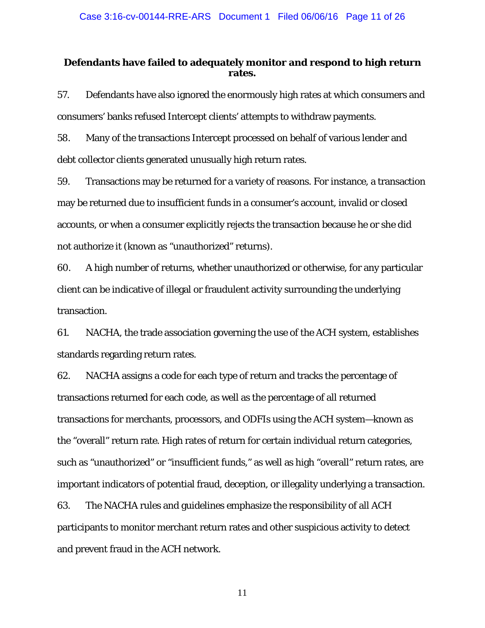## **Defendants have failed to adequately monitor and respond to high return rates.**

57. Defendants have also ignored the enormously high rates at which consumers and consumers' banks refused Intercept clients' attempts to withdraw payments.

58. Many of the transactions Intercept processed on behalf of various lender and debt collector clients generated unusually high return rates.

59. Transactions may be returned for a variety of reasons. For instance, a transaction may be returned due to insufficient funds in a consumer's account, invalid or closed accounts, or when a consumer explicitly rejects the transaction because he or she did not authorize it (known as "unauthorized" returns).

60. A high number of returns, whether unauthorized or otherwise, for any particular client can be indicative of illegal or fraudulent activity surrounding the underlying transaction.

61. NACHA, the trade association governing the use of the ACH system, establishes standards regarding return rates.

62. NACHA assigns a code for each type of return and tracks the percentage of transactions returned for each code, as well as the percentage of all returned transactions for merchants, processors, and ODFIs using the ACH system—known as the "overall" return rate. High rates of return for certain individual return categories, such as "unauthorized" or "insufficient funds," as well as high "overall" return rates, are important indicators of potential fraud, deception, or illegality underlying a transaction. 63. The NACHA rules and guidelines emphasize the responsibility of all ACH participants to monitor merchant return rates and other suspicious activity to detect

and prevent fraud in the ACH network.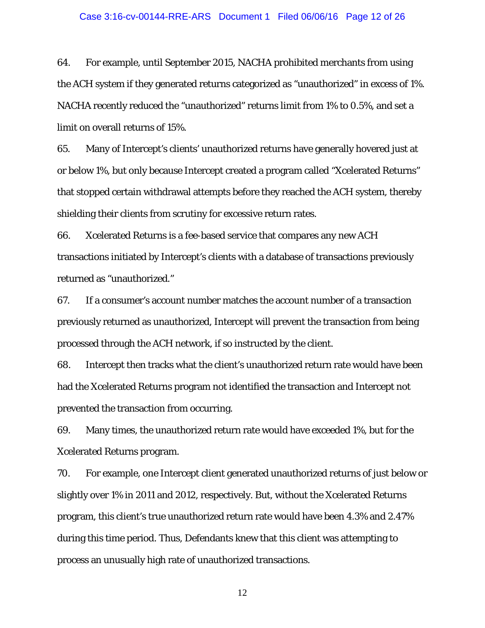#### Case 3:16-cv-00144-RRE-ARS Document 1 Filed 06/06/16 Page 12 of 26

64. For example, until September 2015, NACHA prohibited merchants from using the ACH system if they generated returns categorized as "unauthorized" in excess of 1%. NACHA recently reduced the "unauthorized" returns limit from 1% to 0.5%, and set a limit on overall returns of 15%.

65. Many of Intercept's clients' unauthorized returns have generally hovered just at or below 1%, but only because Intercept created a program called "Xcelerated Returns" that stopped certain withdrawal attempts before they reached the ACH system, thereby shielding their clients from scrutiny for excessive return rates.

66. Xcelerated Returns is a fee-based service that compares any new ACH transactions initiated by Intercept's clients with a database of transactions previously returned as "unauthorized."

67. If a consumer's account number matches the account number of a transaction previously returned as unauthorized, Intercept will prevent the transaction from being processed through the ACH network, if so instructed by the client.

68. Intercept then tracks what the client's unauthorized return rate would have been had the Xcelerated Returns program not identified the transaction and Intercept not prevented the transaction from occurring.

69. Many times, the unauthorized return rate would have exceeded 1%, but for the Xcelerated Returns program.

70. For example, one Intercept client generated unauthorized returns of just below or slightly over 1% in 2011 and 2012, respectively. But, without the Xcelerated Returns program, this client's true unauthorized return rate would have been 4.3% and 2.47% during this time period. Thus, Defendants knew that this client was attempting to process an unusually high rate of unauthorized transactions.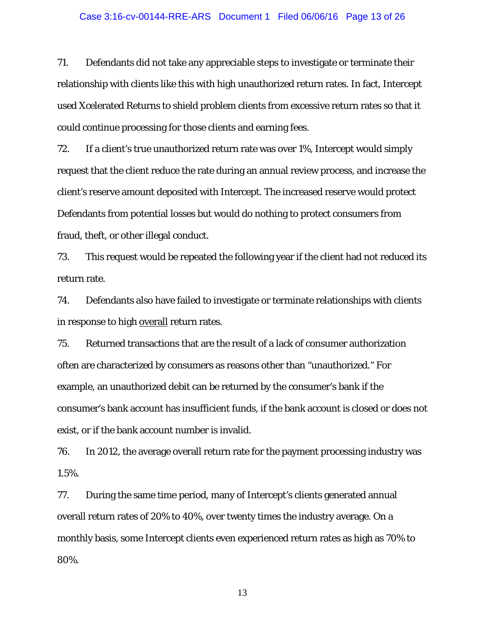### Case 3:16-cv-00144-RRE-ARS Document 1 Filed 06/06/16 Page 13 of 26

71. Defendants did not take any appreciable steps to investigate or terminate their relationship with clients like this with high unauthorized return rates. In fact, Intercept used Xcelerated Returns to shield problem clients from excessive return rates so that it could continue processing for those clients and earning fees.

72. If a client's true unauthorized return rate was over 1%, Intercept would simply request that the client reduce the rate during an annual review process, and increase the client's reserve amount deposited with Intercept. The increased reserve would protect Defendants from potential losses but would do nothing to protect consumers from fraud, theft, or other illegal conduct.

73. This request would be repeated the following year if the client had not reduced its return rate.

74. Defendants also have failed to investigate or terminate relationships with clients in response to high overall return rates.

75. Returned transactions that are the result of a lack of consumer authorization often are characterized by consumers as reasons other than "unauthorized." For example, an unauthorized debit can be returned by the consumer's bank if the consumer's bank account has insufficient funds, if the bank account is closed or does not exist, or if the bank account number is invalid.

76. In 2012, the average overall return rate for the payment processing industry was 1.5%.

77. During the same time period, many of Intercept's clients generated annual overall return rates of 20% to 40%, over twenty times the industry average. On a monthly basis, some Intercept clients even experienced return rates as high as 70% to 80%.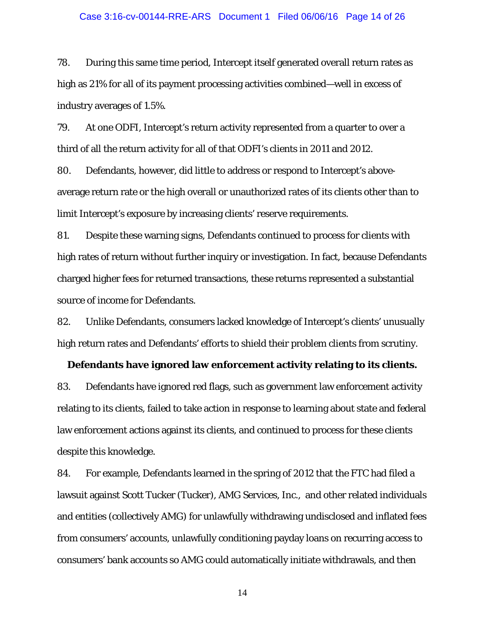#### Case 3:16-cv-00144-RRE-ARS Document 1 Filed 06/06/16 Page 14 of 26

78. During this same time period, Intercept itself generated overall return rates as high as 21% for all of its payment processing activities combined—well in excess of industry averages of 1.5%.

79. At one ODFI, Intercept's return activity represented from a quarter to over a third of all the return activity for all of that ODFI's clients in 2011 and 2012.

80. Defendants, however, did little to address or respond to Intercept's aboveaverage return rate or the high overall or unauthorized rates of its clients other than to limit Intercept's exposure by increasing clients' reserve requirements.

81. Despite these warning signs, Defendants continued to process for clients with high rates of return without further inquiry or investigation. In fact, because Defendants charged higher fees for returned transactions, these returns represented a substantial source of income for Defendants.

82. Unlike Defendants, consumers lacked knowledge of Intercept's clients' unusually high return rates and Defendants' efforts to shield their problem clients from scrutiny.

#### **Defendants have ignored law enforcement activity relating to its clients.**

83. Defendants have ignored red flags, such as government law enforcement activity relating to its clients, failed to take action in response to learning about state and federal law enforcement actions against its clients, and continued to process for these clients despite this knowledge.

84. For example, Defendants learned in the spring of 2012 that the FTC had filed a lawsuit against Scott Tucker (Tucker), AMG Services, Inc., and other related individuals and entities (collectively AMG) for unlawfully withdrawing undisclosed and inflated fees from consumers' accounts, unlawfully conditioning payday loans on recurring access to consumers' bank accounts so AMG could automatically initiate withdrawals, and then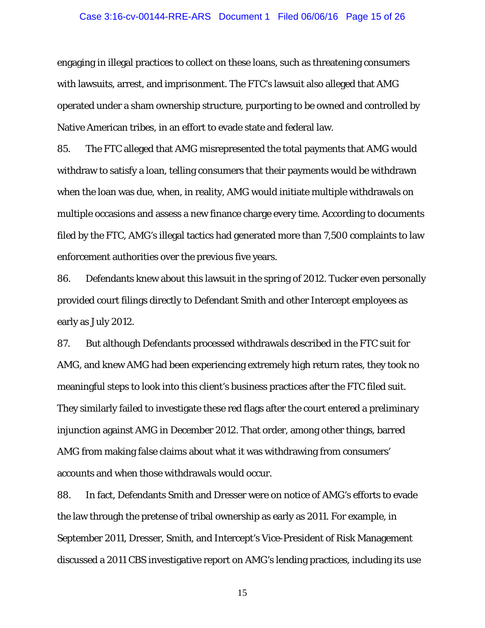#### Case 3:16-cv-00144-RRE-ARS Document 1 Filed 06/06/16 Page 15 of 26

engaging in illegal practices to collect on these loans, such as threatening consumers with lawsuits, arrest, and imprisonment. The FTC's lawsuit also alleged that AMG operated under a sham ownership structure, purporting to be owned and controlled by Native American tribes, in an effort to evade state and federal law.

85. The FTC alleged that AMG misrepresented the total payments that AMG would withdraw to satisfy a loan, telling consumers that their payments would be withdrawn when the loan was due, when, in reality, AMG would initiate multiple withdrawals on multiple occasions and assess a new finance charge every time. According to documents filed by the FTC, AMG's illegal tactics had generated more than 7,500 complaints to law enforcement authorities over the previous five years.

86. Defendants knew about this lawsuit in the spring of 2012. Tucker even personally provided court filings directly to Defendant Smith and other Intercept employees as early as July 2012.

87. But although Defendants processed withdrawals described in the FTC suit for AMG, and knew AMG had been experiencing extremely high return rates, they took no meaningful steps to look into this client's business practices after the FTC filed suit. They similarly failed to investigate these red flags after the court entered a preliminary injunction against AMG in December 2012. That order, among other things, barred AMG from making false claims about what it was withdrawing from consumers' accounts and when those withdrawals would occur.

88. In fact, Defendants Smith and Dresser were on notice of AMG's efforts to evade the law through the pretense of tribal ownership as early as 2011. For example, in September 2011, Dresser, Smith, and Intercept's Vice-President of Risk Management discussed a 2011 CBS investigative report on AMG's lending practices, including its use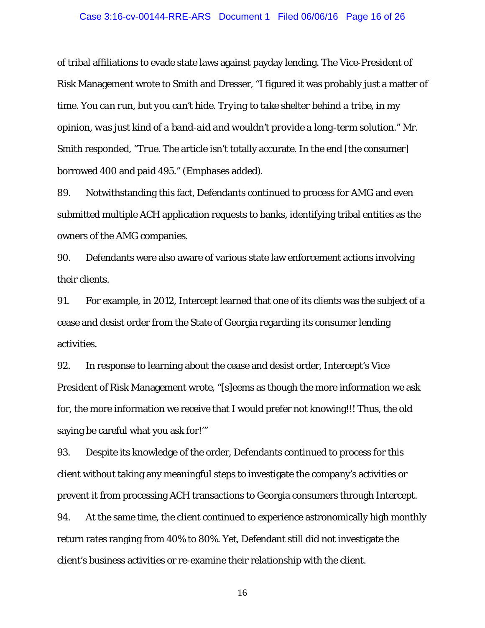#### Case 3:16-cv-00144-RRE-ARS Document 1 Filed 06/06/16 Page 16 of 26

of tribal affiliations to evade state laws against payday lending. The Vice-President of Risk Management wrote to Smith and Dresser, "I figured it was probably just a matter of time. *You can run, but you can't hide. Trying to take shelter behind a tribe, in my opinion, was just kind of a band-aid and wouldn't provide a long-term solution*." Mr. Smith responded, "*True.* The article isn't totally accurate. In the end [the consumer] borrowed 400 and paid 495." (Emphases added).

89. Notwithstanding this fact, Defendants continued to process for AMG and even submitted multiple ACH application requests to banks, identifying tribal entities as the owners of the AMG companies.

90. Defendants were also aware of various state law enforcement actions involving their clients.

91. For example, in 2012, Intercept learned that one of its clients was the subject of a cease and desist order from the State of Georgia regarding its consumer lending activities.

92. In response to learning about the cease and desist order, Intercept's Vice President of Risk Management wrote, "[s]eems as though the more information we ask for, the more information we receive that I would prefer not knowing!!! Thus, the old saying be careful what you ask for!'"

93. Despite its knowledge of the order, Defendants continued to process for this client without taking any meaningful steps to investigate the company's activities or prevent it from processing ACH transactions to Georgia consumers through Intercept.

94. At the same time, the client continued to experience astronomically high monthly return rates ranging from 40% to 80%. Yet, Defendant still did not investigate the client's business activities or re-examine their relationship with the client.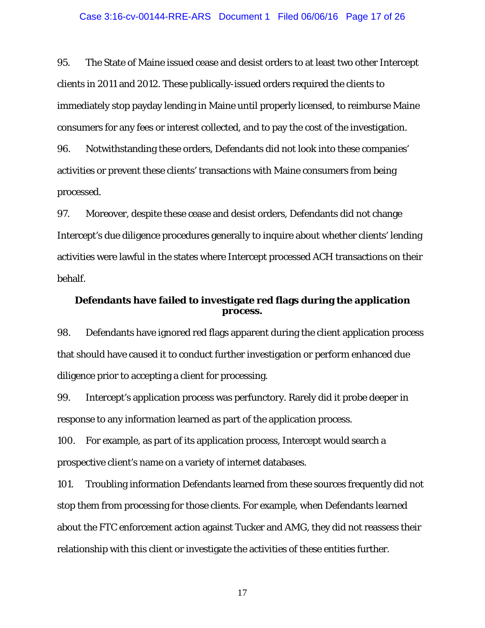#### Case 3:16-cv-00144-RRE-ARS Document 1 Filed 06/06/16 Page 17 of 26

95. The State of Maine issued cease and desist orders to at least two other Intercept clients in 2011 and 2012. These publically-issued orders required the clients to immediately stop payday lending in Maine until properly licensed, to reimburse Maine consumers for any fees or interest collected, and to pay the cost of the investigation. 96. Notwithstanding these orders, Defendants did not look into these companies' activities or prevent these clients' transactions with Maine consumers from being processed.

97. Moreover, despite these cease and desist orders, Defendants did not change Intercept's due diligence procedures generally to inquire about whether clients' lending activities were lawful in the states where Intercept processed ACH transactions on their behalf.

## **Defendants have failed to investigate red flags during the application process.**

98. Defendants have ignored red flags apparent during the client application process that should have caused it to conduct further investigation or perform enhanced due diligence prior to accepting a client for processing.

99. Intercept's application process was perfunctory. Rarely did it probe deeper in response to any information learned as part of the application process.

100. For example, as part of its application process, Intercept would search a prospective client's name on a variety of internet databases.

101. Troubling information Defendants learned from these sources frequently did not stop them from processing for those clients. For example, when Defendants learned about the FTC enforcement action against Tucker and AMG, they did not reassess their relationship with this client or investigate the activities of these entities further.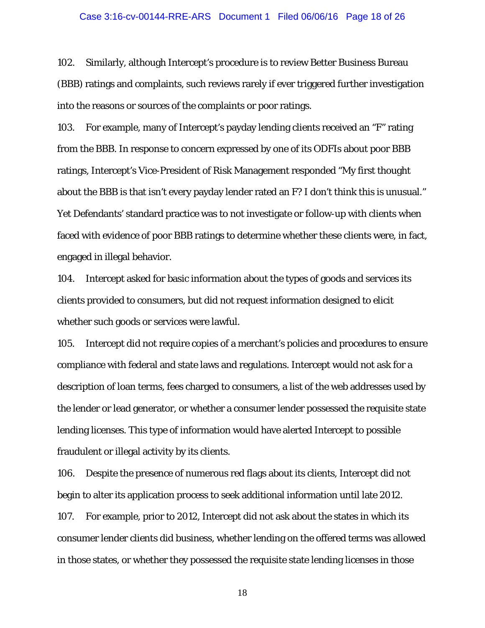#### Case 3:16-cv-00144-RRE-ARS Document 1 Filed 06/06/16 Page 18 of 26

102. Similarly, although Intercept's procedure is to review Better Business Bureau (BBB) ratings and complaints, such reviews rarely if ever triggered further investigation into the reasons or sources of the complaints or poor ratings.

103. For example, many of Intercept's payday lending clients received an "F" rating from the BBB. In response to concern expressed by one of its ODFIs about poor BBB ratings, Intercept's Vice-President of Risk Management responded "My first thought about the BBB is that isn't every payday lender rated an F? I don't think this is unusual." Yet Defendants' standard practice was to not investigate or follow-up with clients when faced with evidence of poor BBB ratings to determine whether these clients were, in fact, engaged in illegal behavior.

104. Intercept asked for basic information about the types of goods and services its clients provided to consumers, but did not request information designed to elicit whether such goods or services were lawful.

105. Intercept did not require copies of a merchant's policies and procedures to ensure compliance with federal and state laws and regulations. Intercept would not ask for a description of loan terms, fees charged to consumers, a list of the web addresses used by the lender or lead generator, or whether a consumer lender possessed the requisite state lending licenses. This type of information would have alerted Intercept to possible fraudulent or illegal activity by its clients.

106. Despite the presence of numerous red flags about its clients, Intercept did not begin to alter its application process to seek additional information until late 2012. 107. For example, prior to 2012, Intercept did not ask about the states in which its consumer lender clients did business, whether lending on the offered terms was allowed in those states, or whether they possessed the requisite state lending licenses in those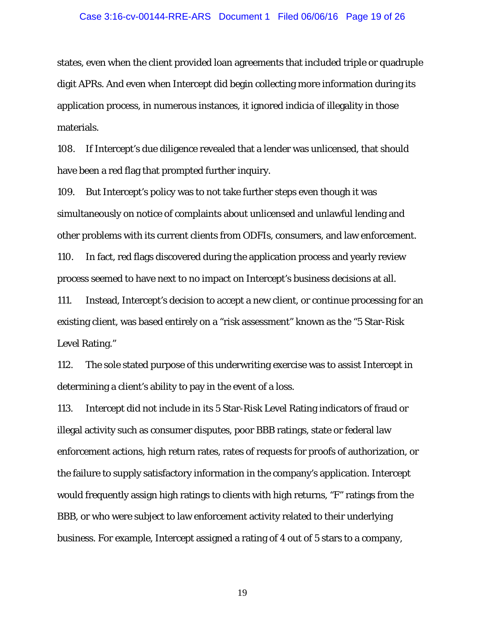### Case 3:16-cv-00144-RRE-ARS Document 1 Filed 06/06/16 Page 19 of 26

states, even when the client provided loan agreements that included triple or quadruple digit APRs. And even when Intercept did begin collecting more information during its application process, in numerous instances, it ignored indicia of illegality in those materials.

108. If Intercept's due diligence revealed that a lender was unlicensed, that should have been a red flag that prompted further inquiry.

109. But Intercept's policy was to not take further steps even though it was simultaneously on notice of complaints about unlicensed and unlawful lending and other problems with its current clients from ODFIs, consumers, and law enforcement.

110. In fact, red flags discovered during the application process and yearly review process seemed to have next to no impact on Intercept's business decisions at all.

111. Instead, Intercept's decision to accept a new client, or continue processing for an existing client, was based entirely on a "risk assessment" known as the "5 Star-Risk Level Rating."

112. The sole stated purpose of this underwriting exercise was to assist Intercept in determining a client's ability to pay in the event of a loss.

113. Intercept did not include in its 5 Star-Risk Level Rating indicators of fraud or illegal activity such as consumer disputes, poor BBB ratings, state or federal law enforcement actions, high return rates, rates of requests for proofs of authorization, or the failure to supply satisfactory information in the company's application. Intercept would frequently assign high ratings to clients with high returns, "F" ratings from the BBB, or who were subject to law enforcement activity related to their underlying business. For example, Intercept assigned a rating of 4 out of 5 stars to a company,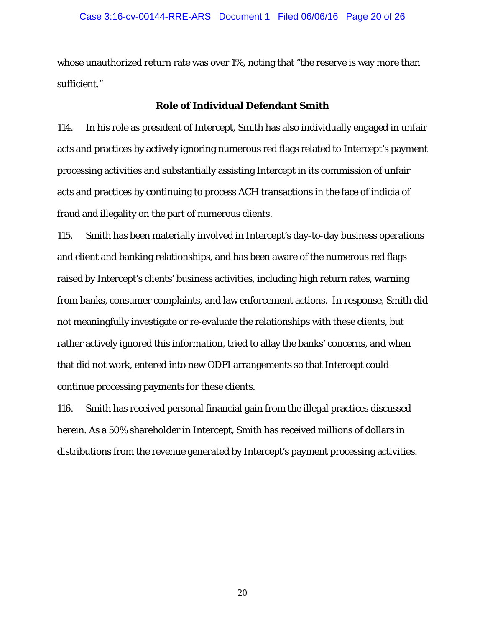whose unauthorized return rate was over 1%, noting that "the reserve is way more than sufficient."

### **Role of Individual Defendant Smith**

114. In his role as president of Intercept, Smith has also individually engaged in unfair acts and practices by actively ignoring numerous red flags related to Intercept's payment processing activities and substantially assisting Intercept in its commission of unfair acts and practices by continuing to process ACH transactions in the face of indicia of fraud and illegality on the part of numerous clients.

115. Smith has been materially involved in Intercept's day-to-day business operations and client and banking relationships, and has been aware of the numerous red flags raised by Intercept's clients' business activities, including high return rates, warning from banks, consumer complaints, and law enforcement actions. In response, Smith did not meaningfully investigate or re-evaluate the relationships with these clients, but rather actively ignored this information, tried to allay the banks' concerns, and when that did not work, entered into new ODFI arrangements so that Intercept could continue processing payments for these clients.

116. Smith has received personal financial gain from the illegal practices discussed herein. As a 50% shareholder in Intercept, Smith has received millions of dollars in distributions from the revenue generated by Intercept's payment processing activities.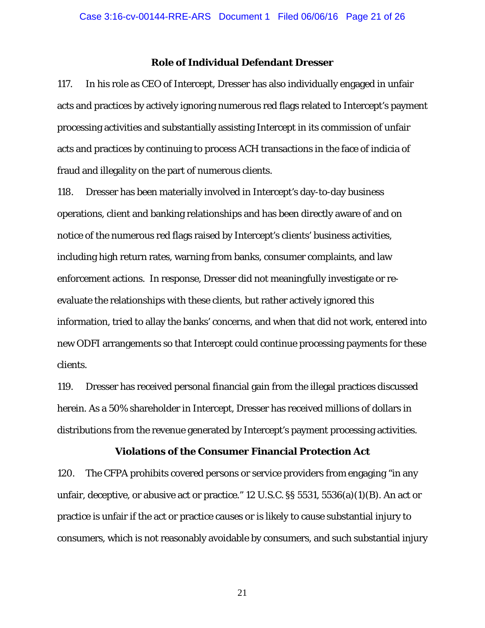#### **Role of Individual Defendant Dresser**

117. In his role as CEO of Intercept, Dresser has also individually engaged in unfair acts and practices by actively ignoring numerous red flags related to Intercept's payment processing activities and substantially assisting Intercept in its commission of unfair acts and practices by continuing to process ACH transactions in the face of indicia of fraud and illegality on the part of numerous clients.

118. Dresser has been materially involved in Intercept's day-to-day business operations, client and banking relationships and has been directly aware of and on notice of the numerous red flags raised by Intercept's clients' business activities, including high return rates, warning from banks, consumer complaints, and law enforcement actions. In response, Dresser did not meaningfully investigate or reevaluate the relationships with these clients, but rather actively ignored this information, tried to allay the banks' concerns, and when that did not work, entered into new ODFI arrangements so that Intercept could continue processing payments for these clients.

119. Dresser has received personal financial gain from the illegal practices discussed herein. As a 50% shareholder in Intercept, Dresser has received millions of dollars in distributions from the revenue generated by Intercept's payment processing activities.

### **Violations of the Consumer Financial Protection Act**

120. The CFPA prohibits covered persons or service providers from engaging "in any unfair, deceptive, or abusive act or practice." 12 U.S.C. §§ 5531, 5536(a)(1)(B). An act or practice is unfair if the act or practice causes or is likely to cause substantial injury to consumers, which is not reasonably avoidable by consumers, and such substantial injury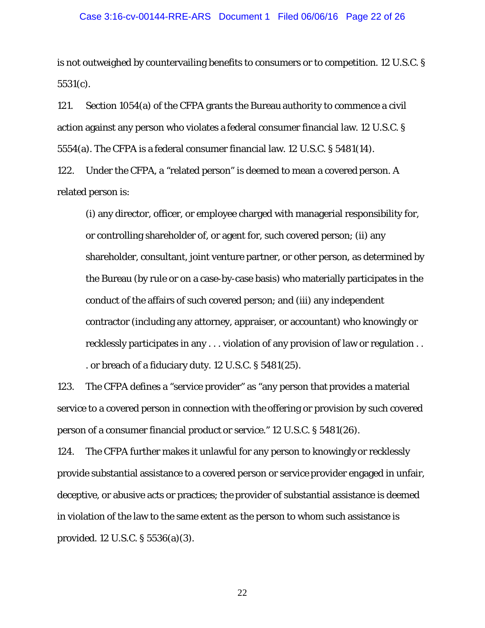### Case 3:16-cv-00144-RRE-ARS Document 1 Filed 06/06/16 Page 22 of 26

is not outweighed by countervailing benefits to consumers or to competition. 12 U.S.C. § 5531(c).

121. Section 1054(a) of the CFPA grants the Bureau authority to commence a civil action against any person who violates a federal consumer financial law. 12 U.S.C. § 5554(a). The CFPA is a federal consumer financial law. 12 U.S.C. § 5481(14).

122. Under the CFPA, a "related person" is deemed to mean a covered person. A related person is:

(i) any director, officer, or employee charged with managerial responsibility for, or controlling shareholder of, or agent for, such covered person; (ii) any shareholder, consultant, joint venture partner, or other person, as determined by the Bureau (by rule or on a case-by-case basis) who materially participates in the conduct of the affairs of such covered person; and (iii) any independent contractor (including any attorney, appraiser, or accountant) who knowingly or recklessly participates in any . . . violation of any provision of law or regulation . . . or breach of a fiduciary duty. 12 U.S.C. § 5481(25).

123. The CFPA defines a "service provider" as "any person that provides a material service to a covered person in connection with the offering or provision by such covered person of a consumer financial product or service." 12 U.S.C. § 5481(26).

124. The CFPA further makes it unlawful for any person to knowingly or recklessly provide substantial assistance to a covered person or service provider engaged in unfair, deceptive, or abusive acts or practices; the provider of substantial assistance is deemed in violation of the law to the same extent as the person to whom such assistance is provided. 12 U.S.C. § 5536(a)(3).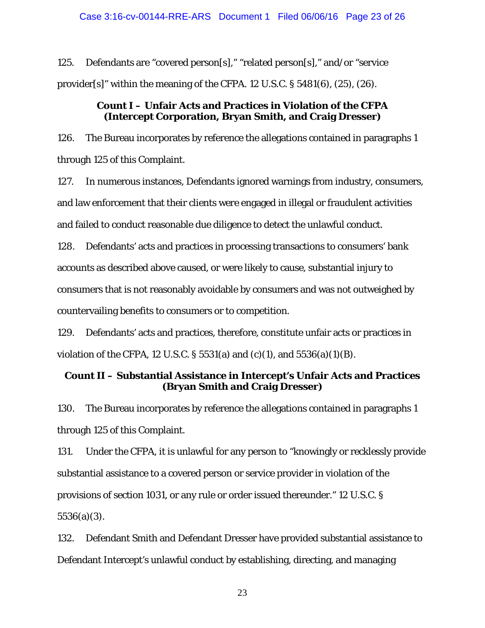125. Defendants are "covered person[s]," "related person[s]," and/or "service provider[s]" within the meaning of the CFPA. 12 U.S.C. § 5481(6), (25), (26).

## **Count I – Unfair Acts and Practices in Violation of the CFPA (Intercept Corporation, Bryan Smith, and Craig Dresser)**

126. The Bureau incorporates by reference the allegations contained in paragraphs 1 through 125 of this Complaint.

127. In numerous instances, Defendants ignored warnings from industry, consumers, and law enforcement that their clients were engaged in illegal or fraudulent activities and failed to conduct reasonable due diligence to detect the unlawful conduct.

128. Defendants' acts and practices in processing transactions to consumers' bank accounts as described above caused, or were likely to cause, substantial injury to consumers that is not reasonably avoidable by consumers and was not outweighed by countervailing benefits to consumers or to competition.

129. Defendants' acts and practices, therefore, constitute unfair acts or practices in violation of the CFPA, 12 U.S.C. § 5531(a) and (c)(1), and 5536(a)(1)(B).

# **Count II – Substantial Assistance in Intercept's Unfair Acts and Practices (Bryan Smith and Craig Dresser)**

130. The Bureau incorporates by reference the allegations contained in paragraphs 1 through 125 of this Complaint.

131. Under the CFPA, it is unlawful for any person to "knowingly or recklessly provide substantial assistance to a covered person or service provider in violation of the provisions of section 1031, or any rule or order issued thereunder." 12 U.S.C. § 5536(a)(3).

132. Defendant Smith and Defendant Dresser have provided substantial assistance to Defendant Intercept's unlawful conduct by establishing, directing, and managing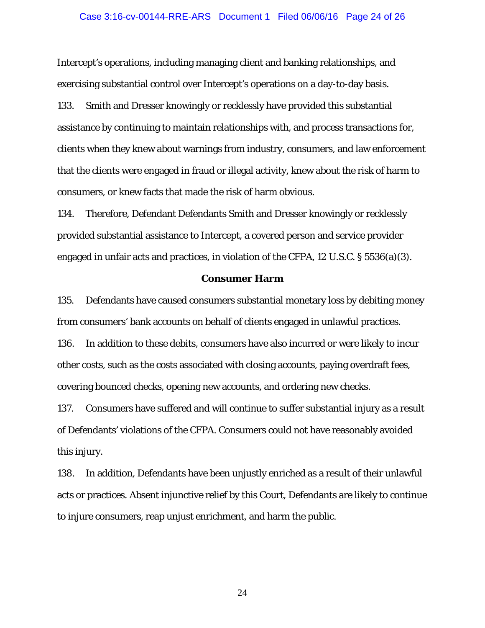#### Case 3:16-cv-00144-RRE-ARS Document 1 Filed 06/06/16 Page 24 of 26

Intercept's operations, including managing client and banking relationships, and exercising substantial control over Intercept's operations on a day-to-day basis. 133. Smith and Dresser knowingly or recklessly have provided this substantial assistance by continuing to maintain relationships with, and process transactions for, clients when they knew about warnings from industry, consumers, and law enforcement that the clients were engaged in fraud or illegal activity, knew about the risk of harm to consumers, or knew facts that made the risk of harm obvious.

134. Therefore, Defendant Defendants Smith and Dresser knowingly or recklessly provided substantial assistance to Intercept, a covered person and service provider engaged in unfair acts and practices, in violation of the CFPA, 12 U.S.C. § 5536(a)(3).

#### **Consumer Harm**

135. Defendants have caused consumers substantial monetary loss by debiting money from consumers' bank accounts on behalf of clients engaged in unlawful practices. 136. In addition to these debits, consumers have also incurred or were likely to incur other costs, such as the costs associated with closing accounts, paying overdraft fees, covering bounced checks, opening new accounts, and ordering new checks.

137. Consumers have suffered and will continue to suffer substantial injury as a result of Defendants' violations of the CFPA. Consumers could not have reasonably avoided this injury.

138. In addition, Defendants have been unjustly enriched as a result of their unlawful acts or practices. Absent injunctive relief by this Court, Defendants are likely to continue to injure consumers, reap unjust enrichment, and harm the public.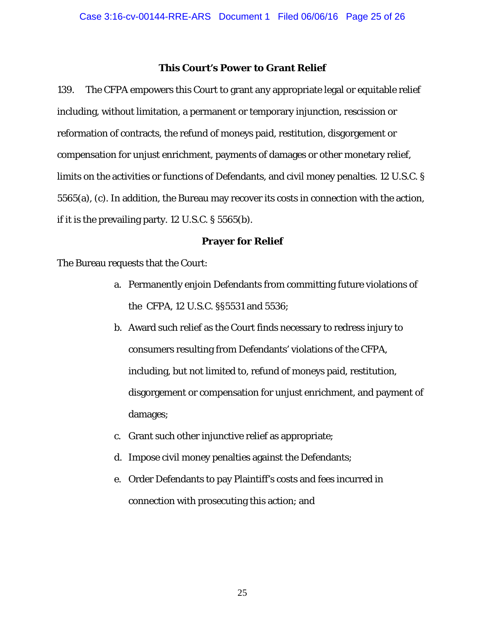### **This Court's Power to Grant Relief**

139. The CFPA empowers this Court to grant any appropriate legal or equitable relief including, without limitation, a permanent or temporary injunction, rescission or reformation of contracts, the refund of moneys paid, restitution, disgorgement or compensation for unjust enrichment, payments of damages or other monetary relief, limits on the activities or functions of Defendants, and civil money penalties. 12 U.S.C. § 5565(a), (c). In addition, the Bureau may recover its costs in connection with the action, if it is the prevailing party. 12 U.S.C. § 5565(b).

## **Prayer for Relief**

The Bureau requests that the Court:

- a. Permanently enjoin Defendants from committing future violations of the CFPA, 12 U.S.C. §§5531 and 5536;
- b. Award such relief as the Court finds necessary to redress injury to consumers resulting from Defendants' violations of the CFPA, including, but not limited to, refund of moneys paid, restitution, disgorgement or compensation for unjust enrichment, and payment of damages;
- c. Grant such other injunctive relief as appropriate;
- d. Impose civil money penalties against the Defendants;
- e. Order Defendants to pay Plaintiff's costs and fees incurred in connection with prosecuting this action; and